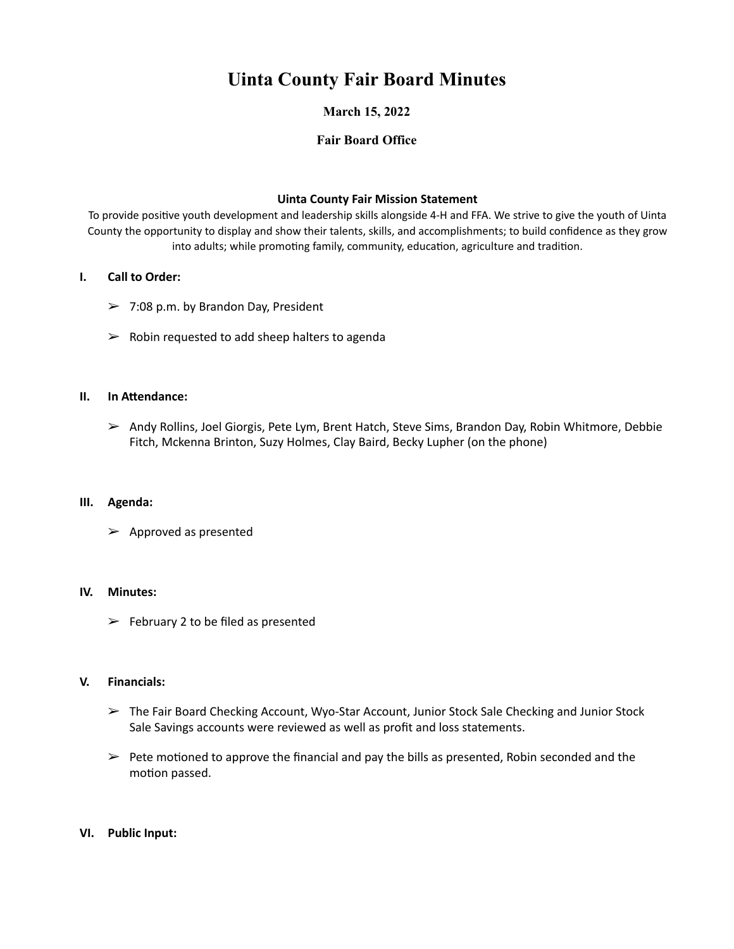# **Uinta County Fair Board Minutes**

# **March 15, 2022**

# **Fair Board Office**

### **Uinta County Fair Mission Statement**

To provide positive youth development and leadership skills alongside 4-H and FFA. We strive to give the youth of Uinta County the opportunity to display and show their talents, skills, and accomplishments; to build confidence as they grow into adults; while promoting family, community, education, agriculture and tradition.

### **I.** Call to Order:

- $>$  7:08 p.m. by Brandon Day, President
- $\triangleright$  Robin requested to add sheep halters to agenda

# **II. In Attendance:**

 $\triangleright$  Andy Rollins, Joel Giorgis, Pete Lym, Brent Hatch, Steve Sims, Brandon Day, Robin Whitmore, Debbie Fitch, Mckenna Brinton, Suzy Holmes, Clay Baird, Becky Lupher (on the phone)

#### **III. Agenda:**

 $\triangleright$  Approved as presented

#### **IV. Minutes:**

 $\triangleright$  February 2 to be filed as presented

#### **V. Financials:**

- $\triangleright$  The Fair Board Checking Account, Wyo-Star Account, Junior Stock Sale Checking and Junior Stock Sale Savings accounts were reviewed as well as profit and loss statements.
- $\triangleright$  Pete motioned to approve the financial and pay the bills as presented, Robin seconded and the motion passed.

# **VI. Public Input:**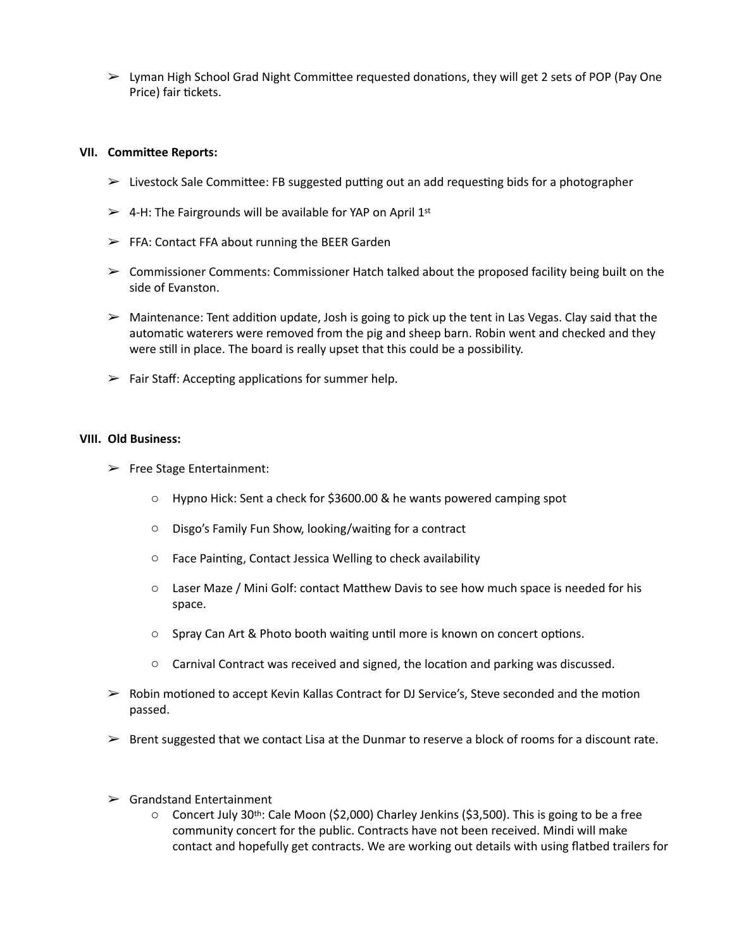$\triangleright$  Lyman High School Grad Night Committee requested donations, they will get 2 sets of POP (Pay One Price) fair tickets.

#### **VII. Committee Reports:**

- $\triangleright$  Livestock Sale Committee: FB suggested putting out an add requesting bids for a photographer
- $\geq$  4-H: The Fairgrounds will be available for YAP on April 1st
- $\triangleright$  FFA: Contact FFA about running the BEER Garden
- $\triangleright$  Commissioner Comments: Commissioner Hatch talked about the proposed facility being built on the side of Evanston.
- $\triangleright$  Maintenance: Tent addition update, Josh is going to pick up the tent in Las Vegas. Clay said that the automatic waterers were removed from the pig and sheep barn. Robin went and checked and they were still in place. The board is really upset that this could be a possibility.
- $\triangleright$  Fair Staff: Accepting applications for summer help.

#### **VIII. Old Business:**

- $\blacktriangleright$  Free Stage Entertainment:
	- $\circ$  Hypno Hick: Sent a check for \$3600.00 & he wants powered camping spot
	- $\circ$  Disgo's Family Fun Show, looking/waiting for a contract
	- $\circ$  Face Painting, Contact Jessica Welling to check availability
	- $\circ$  Laser Maze / Mini Golf: contact Matthew Davis to see how much space is needed for his space.
	- $\circ$  Spray Can Art & Photo booth waiting until more is known on concert options.
	- $\circ$  Carnival Contract was received and signed, the location and parking was discussed.
- $\triangleright$  Robin motioned to accept Kevin Kallas Contract for DJ Service's, Steve seconded and the motion passed.
- $\triangleright$  Brent suggested that we contact Lisa at the Dunmar to reserve a block of rooms for a discount rate.
- $\triangleright$  Grandstand Entertainment
	- $\circ$  Concert July 30<sup>th</sup>: Cale Moon (\$2,000) Charley Jenkins (\$3,500). This is going to be a free community concert for the public. Contracts have not been received. Mindi will make contact and hopefully get contracts. We are working out details with using flatbed trailers for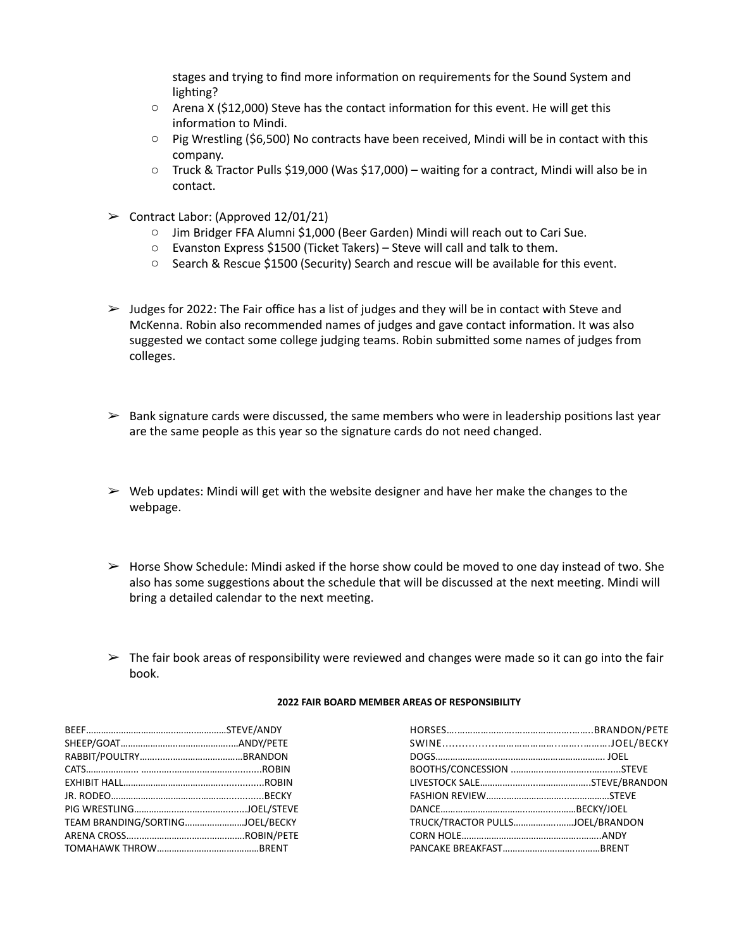stages and trying to find more information on requirements for the Sound System and lighting?

- $\circ$  Arena X (\$12,000) Steve has the contact information for this event. He will get this information to Mindi.
- $\circ$  Pig Wrestling (\$6,500) No contracts have been received, Mindi will be in contact with this company.
- $\circ$  Truck & Tractor Pulls \$19,000 (Was \$17,000) waiting for a contract, Mindi will also be in contact.
- $\triangleright$  Contract Labor: (Approved 12/01/21)
	- o Jim Bridger FFA Alumni \$1,000 (Beer Garden) Mindi will reach out to Cari Sue.
	- $\circ$  Evanston Express \$1500 (Ticket Takers) Steve will call and talk to them.
	- $\circ$  Search & Rescue \$1500 (Security) Search and rescue will be available for this event.
- $>$  Judges for 2022: The Fair office has a list of judges and they will be in contact with Steve and McKenna. Robin also recommended names of judges and gave contact information. It was also suggested we contact some college judging teams. Robin submitted some names of judges from colleges.
- $\triangleright$  Bank signature cards were discussed, the same members who were in leadership positions last year are the same people as this year so the signature cards do not need changed.
- $\triangleright$  Web updates: Mindi will get with the website designer and have her make the changes to the webpage.
- $\triangleright$  Horse Show Schedule: Mindi asked if the horse show could be moved to one day instead of two. She also has some suggestions about the schedule that will be discussed at the next meeting. Mindi will bring a detailed calendar to the next meeting.
- $\triangleright$  The fair book areas of responsibility were reviewed and changes were made so it can go into the fair book.

| 2022 FAIR BOARD MEMBER AREAS OF RESPONSIBILITY |
|------------------------------------------------|
|------------------------------------------------|

| TEAM BRANDING/SORTINGJOEL/BECKY | TRUCK/TRACTOR PULLSJOEL/BRANDO |  |
|---------------------------------|--------------------------------|--|
|                                 |                                |  |
|                                 |                                |  |

| TEAM BRANDING/SORTINGJOEL/BECKY | TRUCK/TRACTOR PULLSJOEL/BRANDON |  |
|---------------------------------|---------------------------------|--|
|                                 |                                 |  |
|                                 |                                 |  |
|                                 |                                 |  |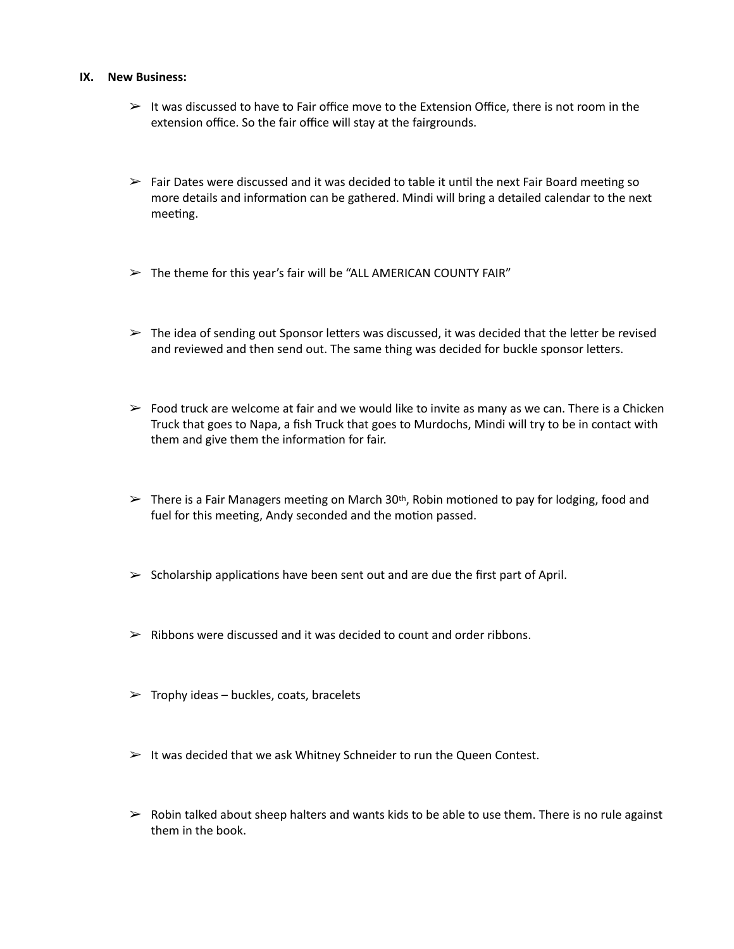#### **IX. New Business:**

- $>$  It was discussed to have to Fair office move to the Extension Office, there is not room in the extension office. So the fair office will stay at the fairgrounds.
- $\triangleright$  Fair Dates were discussed and it was decided to table it until the next Fair Board meeting so more details and information can be gathered. Mindi will bring a detailed calendar to the next meeting.
- $\triangleright$  The theme for this year's fair will be "ALL AMERICAN COUNTY FAIR"
- $\triangleright$  The idea of sending out Sponsor letters was discussed, it was decided that the letter be revised and reviewed and then send out. The same thing was decided for buckle sponsor letters.
- $\triangleright$  Food truck are welcome at fair and we would like to invite as many as we can. There is a Chicken Truck that goes to Napa, a fish Truck that goes to Murdochs, Mindi will try to be in contact with them and give them the information for fair.
- $\triangleright$  There is a Fair Managers meeting on March 30<sup>th</sup>, Robin motioned to pay for lodging, food and fuel for this meeting, Andy seconded and the motion passed.
- $\triangleright$  Scholarship applications have been sent out and are due the first part of April.
- $\triangleright$  Ribbons were discussed and it was decided to count and order ribbons.
- $\triangleright$  Trophy ideas buckles, coats, bracelets
- $\triangleright$  It was decided that we ask Whitney Schneider to run the Queen Contest.
- $\triangleright$  Robin talked about sheep halters and wants kids to be able to use them. There is no rule against them in the book.